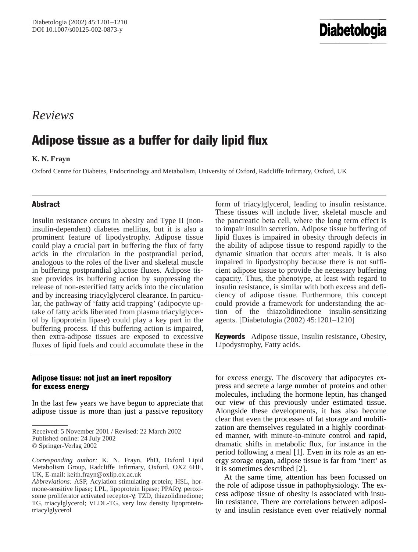## *Reviews*

# Adipose tissue as a buffer for daily lipid flux

## **K. N. Frayn**

Oxford Centre for Diabetes, Endocrinology and Metabolism, University of Oxford, Radcliffe Infirmary, Oxford, UK

## **Abstract**

Insulin resistance occurs in obesity and Type II (noninsulin-dependent) diabetes mellitus, but it is also a prominent feature of lipodystrophy. Adipose tissue could play a crucial part in buffering the flux of fatty acids in the circulation in the postprandial period, analogous to the roles of the liver and skeletal muscle in buffering postprandial glucose fluxes. Adipose tissue provides its buffering action by suppressing the release of non-esterified fatty acids into the circulation and by increasing triacylglycerol clearance. In particular, the pathway of 'fatty acid trapping' (adipocyte uptake of fatty acids liberated from plasma triacylglycerol by lipoprotein lipase) could play a key part in the buffering process. If this buffering action is impaired, then extra-adipose tissues are exposed to excessive fluxes of lipid fuels and could accumulate these in the form of triacylglycerol, leading to insulin resistance. These tissues will include liver, skeletal muscle and the pancreatic beta cell, where the long term effect is to impair insulin secretion. Adipose tissue buffering of lipid fluxes is impaired in obesity through defects in the ability of adipose tissue to respond rapidly to the dynamic situation that occurs after meals. It is also impaired in lipodystrophy because there is not sufficient adipose tissue to provide the necessary buffering capacity. Thus, the phenotype, at least with regard to insulin resistance, is similar with both excess and deficiency of adipose tissue. Furthermore, this concept could provide a framework for understanding the action of the thiazolidinedione insulin-sensitizing agents. [Diabetologia (2002) 45:1201–1210]

**Keywords** Adipose tissue, Insulin resistance, Obesity, Lipodystrophy, Fatty acids.

## Adipose tissue: not just an inert repository for excess energy

In the last few years we have begun to appreciate that adipose tissue is more than just a passive repository

for excess energy. The discovery that adipocytes express and secrete a large number of proteins and other molecules, including the hormone leptin, has changed our view of this previously under estimated tissue. Alongside these developments, it has also become clear that even the processes of fat storage and mobilization are themselves regulated in a highly coordinated manner, with minute-to-minute control and rapid, dramatic shifts in metabolic flux, for instance in the period following a meal [1]. Even in its role as an energy storage organ, adipose tissue is far from 'inert' as it is sometimes described [2].

At the same time, attention has been focussed on the role of adipose tissue in pathophysiology. The excess adipose tissue of obesity is associated with insulin resistance. There are correlations between adiposity and insulin resistance even over relatively normal

Received: 5 November 2001 / Revised: 22 March 2002 Published online: 24 July 2002 © Springer-Verlag 2002

*Corresponding author:* K. N. Frayn, PhD, Oxford Lipid Metabolism Group, Radcliffe Infirmary, Oxford, OX2 6HE, UK, E-mail: keith.frayn@oxlip.ox.ac.uk

*Abbreviations:* ASP, Acylation stimulating protein; HSL, hormone-sensitive lipase; LPL, lipoprotein lipase; PPARγ, peroxisome proliferator activated receptor-γ; TZD, thiazolidinedione; TG, triacylglycerol; VLDL-TG, very low density lipoproteintriacylglycerol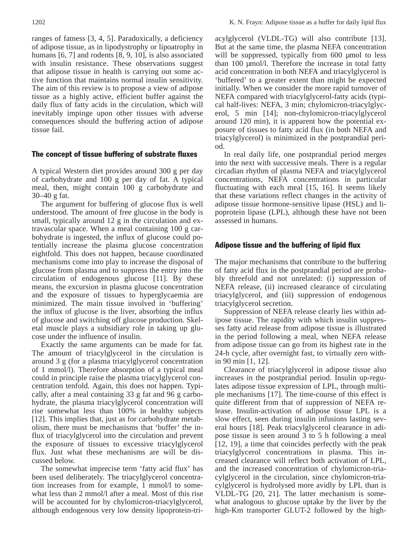ranges of fatness [3, 4, 5]. Paradoxically, a deficiency of adipose tissue, as in lipodystrophy or lipoatrophy in humans [6, 7] and rodents [8, 9, 10], is also associated with insulin resistance. These observations suggest that adipose tissue in health is carrying out some active function that maintains normal insulin sensitivity. The aim of this review is to propose a view of adipose tissue as a highly active, efficient buffer against the daily flux of fatty acids in the circulation, which will inevitably impinge upon other tissues with adverse consequences should the buffering action of adipose tissue fail.

## The concept of tissue buffering of substrate fluxes

A typical Western diet provides around 300 g per day of carbohydrate and 100 g per day of fat. A typical meal, then, might contain 100 g carbohydrate and 30–40 g fat.

The argument for buffering of glucose flux is well understood. The amount of free glucose in the body is small, typically around 12 g in the circulation and extravascular space. When a meal containing 100 g carbohydrate is ingested, the influx of glucose could potentially increase the plasma glucose concentration eightfold. This does not happen, because coordinated mechanisms come into play to increase the disposal of glucose from plasma and to suppress the entry into the circulation of endogenous glucose [11]. By these means, the excursion in plasma glucose concentration and the exposure of tissues to hyperglycaemia are minimized. The main tissue involved in 'buffering' the influx of glucose is the liver, absorbing the influx of glucose and switching off glucose production. Skeletal muscle plays a subsidiary role in taking up glucose under the influence of insulin.

Exactly the same arguments can be made for fat. The amount of triacylglycerol in the circulation is around 3 g (for a plasma triacylglycerol concentration of 1 mmol/l). Therefore absorption of a typical meal could in principle raise the plasma triacylglycerol concentration tenfold. Again, this does not happen. Typically, after a meal containing 33 g fat and 96 g carbohydrate, the plasma triacylglycerol concentration will rise somewhat less than 100% in healthy subjects [12]. This implies that, just as for carbohydrate metabolism, there must be mechanisms that 'buffer' the influx of triacylglycerol into the circulation and prevent the exposure of tissues to excessive triacylglycerol flux. Just what these mechanisms are will be discussed below.

The somewhat imprecise term 'fatty acid flux' has been used deliberately. The triacylglycerol concentration increases from for example, 1 mmol/l to somewhat less than 2 mmol/l after a meal. Most of this rise will be accounted for by chylomicron-triacylglycerol, although endogenous very low density lipoprotein-triacylglycerol (VLDL-TG) will also contribute [13]. But at the same time, the plasma NEFA concentration will be suppressed, typically from 600 µmol to less than 100 µmol/l. Therefore the increase in total fatty acid concentration in both NEFA and triacylglycerol is 'buffered' to a greater extent than might be expected initially. When we consider the more rapid turnover of NEFA compared with triacylglycerol-fatty acids (typical half-lives: NEFA, 3 min; chylomicron-triacylglycerol, 5 min [14]; non-chylomicron-triacylglycerol around 120 min), it is apparent how the potential exposure of tissues to fatty acid flux (in both NEFA and triacylglycerol) is minimized in the postprandial period.

In real daily life, one postprandial period merges into the next with successive meals. There is a regular circadian rhythm of plasma NEFA and triacylglycerol concentrations, NEFA concentrations in particular fluctuating with each meal [15, 16]. It seems likely that these variations reflect changes in the activity of adipose tissue hormone-sensitive lipase (HSL) and lipoprotein lipase (LPL), although these have not been assessed in humans.

## Adipose tissue and the buffering of lipid flux

The major mechanisms that contribute to the buffering of fatty acid flux in the postprandial period are probably threefold and not unrelated: (i) suppression of NEFA release, (ii) increased clearance of circulating triacylglycerol, and (iii) suppression of endogenous triacylglycerol secretion.

Suppression of NEFA release clearly lies within adipose tissue. The rapidity with which insulin suppresses fatty acid release from adipose tissue is illustrated in the period following a meal, when NEFA release from adipose tissue can go from its highest rate in the 24-h cycle, after overnight fast, to virtually zero within 90 min [1, 12].

Clearance of triacylglycerol in adipose tissue also increases in the postprandial period. Insulin up-regulates adipose tissue expression of LPL, through multiple mechanisms [17]. The time-course of this effect is quite different from that of suppression of NEFA release. Insulin-activation of adipose tissue LPL is a slow effect, seen during insulin infusions lasting several hours [18]. Peak triacylglycerol clearance in adipose tissue is seen around 3 to 5 h following a meal [12, 19], a time that coincides perfectly with the peak triacylglycerol concentrations in plasma. This increased clearance will reflect both activation of LPL, and the increased concentration of chylomicron-triacylglycerol in the circulation, since chylomicron-triacylglycerol is hydrolysed more avidly by LPL than is VLDL-TG [20, 21]. The latter mechanism is somewhat analogous to glucose uptake by the liver by the high-Km transporter GLUT-2 followed by the high-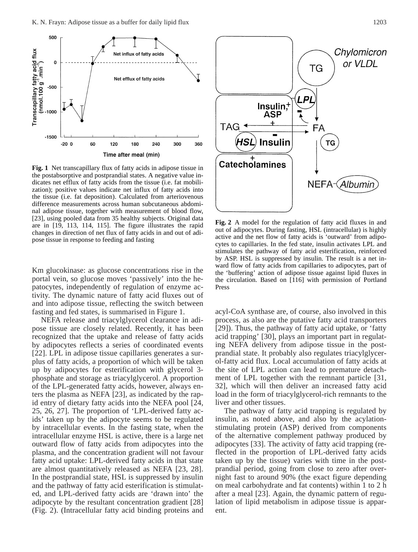

**Fig. 1** Net transcapillary flux of fatty acids in adipose tissue in the postabsorptive and postprandial states. A negative value indicates net efflux of fatty acids from the tissue (i.e. fat mobilization); positive values indicate net influx of fatty acids into the tissue (i.e. fat deposition). Calculated from arteriovenous difference measurements across human subcutaneous abdominal adipose tissue, together with measurement of blood flow, [23], using pooled data from 35 healthy subjects. Original data are in [19, 113, 114, 115]. The figure illustrates the rapid changes in direction of net flux of fatty acids in and out of adipose tissue in response to feeding and fasting

Km glucokinase: as glucose concentrations rise in the portal vein, so glucose moves 'passively' into the hepatocytes, independently of regulation of enzyme activity. The dynamic nature of fatty acid fluxes out of and into adipose tissue, reflecting the switch between fasting and fed states, is summarised in Figure 1.

NEFA release and triacylglycerol clearance in adipose tissue are closely related. Recently, it has been recognized that the uptake and release of fatty acids by adipocytes reflects a series of coordinated events [22]. LPL in adipose tissue capillaries generates a surplus of fatty acids, a proportion of which will be taken up by adipocytes for esterification with glycerol 3 phosphate and storage as triacylglycerol. A proportion of the LPL-generated fatty acids, however, always enters the plasma as NEFA [23], as indicated by the rapid entry of dietary fatty acids into the NEFA pool [24, 25, 26, 27]. The proportion of 'LPL-derived fatty acids' taken up by the adipocyte seems to be regulated by intracellular events. In the fasting state, when the intracellular enzyme HSL is active, there is a large net outward flow of fatty acids from adipocytes into the plasma, and the concentration gradient will not favour fatty acid uptake: LPL-derived fatty acids in that state are almost quantitatively released as NEFA [23, 28]. In the postprandial state, HSL is suppressed by insulin and the pathway of fatty acid esterification is stimulated, and LPL-derived fatty acids are 'drawn into' the adipocyte by the resultant concentration gradient [28] (Fig. 2). (Intracellular fatty acid binding proteins and



**Fig. 2** A model for the regulation of fatty acid fluxes in and out of adipocytes. During fasting, HSL (intracellular) is highly active and the net flow of fatty acids is 'outward' from adipocytes to capillaries. In the fed state, insulin activates LPL and stimulates the pathway of fatty acid esterification, reinforced by ASP. HSL is suppressed by insulin. The result is a net inward flow of fatty acids from capillaries to adipocytes, part of the 'buffering' action of adipose tissue against lipid fluxes in the circulation. Based on [116] with permission of Portland Press

acyl-CoA synthase are, of course, also involved in this process, as also are the putative fatty acid transporters [29]). Thus, the pathway of fatty acid uptake, or 'fatty acid trapping' [30], plays an important part in regulating NEFA delivery from adipose tissue in the postprandial state. It probably also regulates triacylglycerol-fatty acid flux. Local accumulation of fatty acids at the site of LPL action can lead to premature detachment of LPL together with the remnant particle [31, 32], which will then deliver an increased fatty acid load in the form of triacylglycerol-rich remnants to the liver and other tissues.

The pathway of fatty acid trapping is regulated by insulin, as noted above, and also by the acylationstimulating protein (ASP) derived from components of the alternative complement pathway produced by adipocytes [33]. The activity of fatty acid trapping (reflected in the proportion of LPL-derived fatty acids taken up by the tissue) varies with time in the postprandial period, going from close to zero after overnight fast to around 90% (the exact figure depending on meal carbohydrate and fat contents) within 1 to 2 h after a meal [23]. Again, the dynamic pattern of regulation of lipid metabolism in adipose tissue is apparent.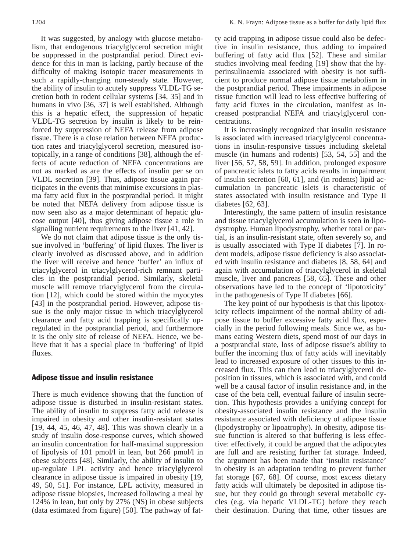It was suggested, by analogy with glucose metabolism, that endogenous triacylglycerol secretion might be suppressed in the postprandial period. Direct evidence for this in man is lacking, partly because of the difficulty of making isotopic tracer measurements in such a rapidly-changing non-steady state. However, the ability of insulin to acutely suppress VLDL-TG secretion both in rodent cellular systems [34, 35] and in humans in vivo [36, 37] is well established. Although this is a hepatic effect, the suppression of hepatic VLDL-TG secretion by insulin is likely to be reinforced by suppression of NEFA release from adipose tissue. There is a close relation between NEFA production rates and triacylglycerol secretion, measured isotopically, in a range of conditions [38], although the effects of acute reduction of NEFA concentrations are not as marked as are the effects of insulin per se on VLDL secretion [39]. Thus, adipose tissue again participates in the events that minimise excursions in plasma fatty acid flux in the postprandial period. It might be noted that NEFA delivery from adipose tissue is now seen also as a major determinant of hepatic glucose output [40], thus giving adipose tissue a role in signalling nutrient requirements to the liver [41, 42].

We do not claim that adipose tissue is the only tissue involved in 'buffering' of lipid fluxes. The liver is clearly involved as discussed above, and in addition the liver will receive and hence 'buffer' an influx of triacylglycerol in triacylglycerol-rich remnant particles in the postprandial period. Similarly, skeletal muscle will remove triacylglycerol from the circulation [12], which could be stored within the myocytes [43] in the postprandial period. However, adipose tissue is the only major tissue in which triacylglycerol clearance and fatty acid trapping is specifically upregulated in the postprandial period, and furthermore it is the only site of release of NEFA. Hence, we believe that it has a special place in 'buffering' of lipid fluxes.

#### Adipose tissue and insulin resistance

There is much evidence showing that the function of adipose tissue is disturbed in insulin-resistant states. The ability of insulin to suppress fatty acid release is impaired in obesity and other insulin-resistant states [19, 44, 45, 46, 47, 48]. This was shown clearly in a study of insulin dose-response curves, which showed an insulin concentration for half-maximal suppression of lipolysis of 101 pmol/l in lean, but 266 pmol/l in obese subjects [48]. Similarly, the ability of insulin to up-regulate LPL activity and hence triacylglycerol clearance in adipose tissue is impaired in obesity [19, 49, 50, 51]. For instance, LPL activity, measured in adipose tissue biopsies, increased following a meal by 124% in lean, but only by 27% (NS) in obese subjects (data estimated from figure) [50]. The pathway of fatty acid trapping in adipose tissue could also be defective in insulin resistance, thus adding to impaired buffering of fatty acid flux [52]. These and similar studies involving meal feeding [19] show that the hyperinsulinaemia associated with obesity is not sufficient to produce normal adipose tissue metabolism in the postprandial period. These impairments in adipose tissue function will lead to less effective buffering of fatty acid fluxes in the circulation, manifest as increased postprandial NEFA and triacylglycerol concentrations.

It is increasingly recognized that insulin resistance is associated with increased triacylglycerol concentrations in insulin-responsive tissues including skeletal muscle (in humans and rodents) [53, 54, 55] and the liver [56, 57, 58, 59]. In addition, prolonged exposure of pancreatic islets to fatty acids results in impairment of insulin secretion [60, 61], and (in rodents) lipid accumulation in pancreatic islets is characteristic of states associated with insulin resistance and Type II diabetes [62, 63].

Interestingly, the same pattern of insulin resistance and tissue triacylglycerol accumulation is seen in lipodystrophy. Human lipodystrophy, whether total or partial, is an insulin-resistant state, often severely so, and is usually associated with Type II diabetes [7]. In rodent models, adipose tissue deficiency is also associated with insulin resistance and diabetes [8, 58, 64] and again with accumulation of triacylglycerol in skeletal muscle, liver and pancreas [58, 65]. These and other observations have led to the concept of 'lipotoxicity' in the pathogenesis of Type II diabetes [66].

The key point of our hypothesis is that this lipotoxicity reflects impairment of the normal ability of adipose tissue to buffer excessive fatty acid flux, especially in the period following meals. Since we, as humans eating Western diets, spend most of our days in a postprandial state, loss of adipose tissue's ability to buffer the incoming flux of fatty acids will inevitably lead to increased exposure of other tissues to this increased flux. This can then lead to triacylglycerol deposition in tissues, which is associated with, and could well be a causal factor of insulin resistance and, in the case of the beta cell, eventual failure of insulin secretion. This hypothesis provides a unifying concept for obesity-associated insulin resistance and the insulin resistance associated with deficiency of adipose tissue (lipodystrophy or lipoatrophy). In obesity, adipose tissue function is altered so that buffering is less effective: effectively, it could be argued that the adipocytes are full and are resisting further fat storage. Indeed, the argument has been made that 'insulin resistance' in obesity is an adaptation tending to prevent further fat storage [67, 68]. Of course, most excess dietary fatty acids will ultimately be deposited in adipose tissue, but they could go through several metabolic cycles (e.g. via hepatic VLDL-TG) before they reach their destination. During that time, other tissues are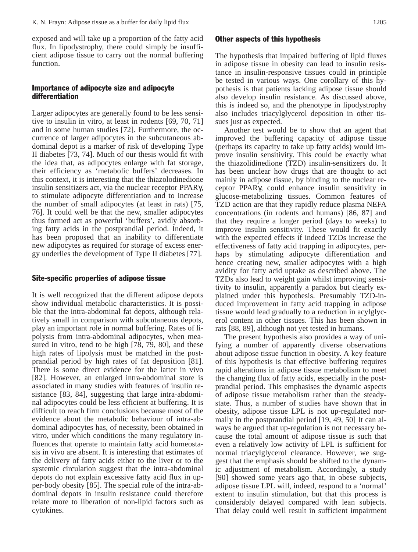exposed and will take up a proportion of the fatty acid flux. In lipodystrophy, there could simply be insufficient adipose tissue to carry out the normal buffering function.

#### Importance of adipocyte size and adipocyte differentiation

Larger adipocytes are generally found to be less sensitive to insulin in vitro, at least in rodents [69, 70, 71] and in some human studies [72]. Furthermore, the occurrence of larger adipocytes in the subcutaneous abdominal depot is a marker of risk of developing Type II diabetes [73, 74]. Much of our thesis would fit with the idea that, as adipocytes enlarge with fat storage, their efficiency as 'metabolic buffers' decreases. In this context, it is interesting that the thiazolodinedione insulin sensitizers act, via the nuclear receptor PPARγ, to stimulate adipocyte differentiation and to increase the number of small adipocytes (at least in rats) [75, 76]. It could well be that the new, smaller adipocytes thus formed act as powerful 'buffers', avidly absorbing fatty acids in the postprandial period. Indeed, it has been proposed that an inability to differentiate new adipocytes as required for storage of excess energy underlies the development of Type II diabetes [77].

#### Site-specific properties of adipose tissue

It is well recognized that the different adipose depots show individual metabolic characteristics. It is possible that the intra-abdominal fat depots, although relatively small in comparison with subcutaneous depots, play an important role in normal buffering. Rates of lipolysis from intra-abdominal adipocytes, when measured in vitro, tend to be high [78, 79, 80], and these high rates of lipolysis must be matched in the postprandial period by high rates of fat deposition [81]. There is some direct evidence for the latter in vivo [82]. However, an enlarged intra-abdominal store is associated in many studies with features of insulin resistance [83, 84], suggesting that large intra-abdominal adipocytes could be less efficient at buffering. It is difficult to reach firm conclusions because most of the evidence about the metabolic behaviour of intra-abdominal adipocytes has, of necessity, been obtained in vitro, under which conditions the many regulatory influences that operate to maintain fatty acid homeostasis in vivo are absent. It is interesting that estimates of the delivery of fatty acids either to the liver or to the systemic circulation suggest that the intra-abdominal depots do not explain excessive fatty acid flux in upper-body obesity [85]. The special role of the intra-abdominal depots in insulin resistance could therefore relate more to liberation of non-lipid factors such as cytokines.

#### Other aspects of this hypothesis

The hypothesis that impaired buffering of lipid fluxes in adipose tissue in obesity can lead to insulin resistance in insulin-responsive tissues could in principle be tested in various ways. One corollary of this hypothesis is that patients lacking adipose tissue should also develop insulin resistance. As discussed above, this is indeed so, and the phenotype in lipodystrophy also includes triacylglycerol deposition in other tissues just as expected.

Another test would be to show that an agent that improved the buffering capacity of adipose tissue (perhaps its capacity to take up fatty acids) would improve insulin sensitivity. This could be exactly what the thiazolidinedione (TZD) insulin-sensitizers do. It has been unclear how drugs that are thought to act mainly in adipose tissue, by binding to the nuclear receptor PPARγ, could enhance insulin sensitivity in glucose-metabolizing tissues. Common features of TZD action are that they rapidly reduce plasma NEFA concentrations (in rodents and humans) [86, 87] and that they require a longer period (days to weeks) to improve insulin sensitivity. These would fit exactly with the expected effects if indeed TZDs increase the effectiveness of fatty acid trapping in adipocytes, perhaps by stimulating adipocyte differentiation and hence creating new, smaller adipocytes with a high avidity for fatty acid uptake as described above. The TZDs also lead to weight gain whilst improving sensitivity to insulin, apparently a paradox but clearly explained under this hypothesis. Presumably TZD-induced improvement in fatty acid trapping in adipose tissue would lead gradually to a reduction in acylglycerol content in other tissues. This has been shown in rats [88, 89], although not yet tested in humans.

The present hypothesis also provides a way of unifying a number of apparently diverse observations about adipose tissue function in obesity. A key feature of this hypothesis is that effective buffering requires rapid alterations in adipose tissue metabolism to meet the changing flux of fatty acids, especially in the postprandial period. This emphasises the dynamic aspects of adipose tissue metabolism rather than the steadystate. Thus, a number of studies have shown that in obesity, adipose tissue LPL is not up-regulated normally in the postprandial period [19, 49, 50] It can always be argued that up-regulation is not necessary because the total amount of adipose tissue is such that even a relatively low activity of LPL is sufficient for normal triacylglycerol clearance. However, we suggest that the emphasis should be shifted to the dynamic adjustment of metabolism. Accordingly, a study [90] showed some years ago that, in obese subjects, adipose tissue LPL will, indeed, respond to a 'normal' extent to insulin stimulation, but that this process is considerably delayed compared with lean subjects. That delay could well result in sufficient impairment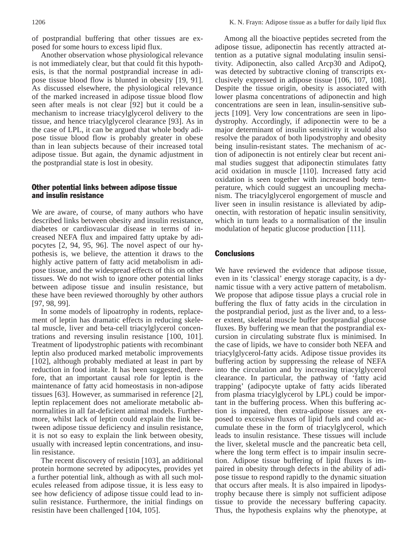of postprandial buffering that other tissues are exposed for some hours to excess lipid flux.

Another observation whose physiological relevance is not immediately clear, but that could fit this hypothesis, is that the normal postprandial increase in adipose tissue blood flow is blunted in obesity [19, 91]. As discussed elsewhere, the physiological relevance of the marked increased in adipose tissue blood flow seen after meals is not clear [92] but it could be a mechanism to increase triacylglycerol delivery to the tissue, and hence triacylglycerol clearance [93]. As in the case of LPL, it can be argued that whole body adipose tissue blood flow is probably greater in obese than in lean subjects because of their increased total adipose tissue. But again, the dynamic adjustment in the postprandial state is lost in obesity.

#### Other potential links between adipose tissue and insulin resistance

We are aware, of course, of many authors who have described links between obesity and insulin resistance, diabetes or cardiovascular disease in terms of increased NEFA flux and impaired fatty uptake by adipocytes [2, 94, 95, 96]. The novel aspect of our hypothesis is, we believe, the attention it draws to the highly active pattern of fatty acid metabolism in adipose tissue, and the widespread effects of this on other tissues. We do not wish to ignore other potential links between adipose tissue and insulin resistance, but these have been reviewed thoroughly by other authors [97, 98, 99].

In some models of lipoatrophy in rodents, replacement of leptin has dramatic effects in reducing skeletal muscle, liver and beta-cell triacylglycerol concentrations and reversing insulin resistance [100, 101]. Treatment of lipodystrophic patients with recombinant leptin also produced marked metabolic improvements [102], although probably mediated at least in part by reduction in food intake. It has been suggested, therefore, that an important causal role for leptin is the maintenance of fatty acid homeostasis in non-adipose tissues [63]. However, as summarised in reference [2], leptin replacement does not ameliorate metabolic abnormalities in all fat-deficient animal models. Furthermore, whilst lack of leptin could explain the link between adipose tissue deficiency and insulin resistance, it is not so easy to explain the link between obesity, usually with increased leptin concentrations, and insulin resistance.

The recent discovery of resistin [103], an additional protein hormone secreted by adipocytes, provides yet a further potential link, although as with all such molecules released from adipose tissue, it is less easy to see how deficiency of adipose tissue could lead to insulin resistance. Furthermore, the initial findings on resistin have been challenged [104, 105].

Among all the bioactive peptides secreted from the adipose tissue, adiponectin has recently attracted attention as a putative signal modulating insulin sensitivity. Adiponectin, also called Arcp30 and AdipoQ, was detected by subtractive cloning of transcripts exclusively expressed in adipose tissue [106, 107, 108]. Despite the tissue origin, obesity is associated with lower plasma concentrations of adiponectin and high concentrations are seen in lean, insulin-sensitive subjects [109]. Very low concentrations are seen in lipodystrophy. Accordingly, if adiponectin were to be a major determinant of insulin sensitivity it would also resolve the paradox of both lipodystrophy and obesity being insulin-resistant states. The mechanism of action of adiponectin is not entirely clear but recent animal studies suggest that adiponectin stimulates fatty acid oxidation in muscle [110]. Increased fatty acid oxidation is seen together with increased body temperature, which could suggest an uncoupling mechanism. The triacylglycerol engorgement of muscle and liver seen in insulin resistance is alleviated by adiponectin, with restoration of hepatic insulin sensitivity, which in turn leads to a normalisation of the insulin modulation of hepatic glucose production [111].

#### **Conclusions**

We have reviewed the evidence that adipose tissue, even in its 'classical' energy storage capacity, is a dynamic tissue with a very active pattern of metabolism. We propose that adipose tissue plays a crucial role in buffering the flux of fatty acids in the circulation in the postprandial period, just as the liver and, to a lesser extent, skeletal muscle buffer postprandial glucose fluxes. By buffering we mean that the postprandial excursion in circulating substrate flux is minimised. In the case of lipids, we have to consider both NEFA and triacylglycerol-fatty acids. Adipose tissue provides its buffering action by suppressing the release of NEFA into the circulation and by increasing triacylglycerol clearance. In particular, the pathway of 'fatty acid trapping' (adipocyte uptake of fatty acids liberated from plasma triacylglycerol by LPL) could be important in the buffering process. When this buffering action is impaired, then extra-adipose tissues are exposed to excessive fluxes of lipid fuels and could accumulate these in the form of triacylglycerol, which leads to insulin resistance. These tissues will include the liver, skeletal muscle and the pancreatic beta cell, where the long term effect is to impair insulin secretion. Adipose tissue buffering of lipid fluxes is impaired in obesity through defects in the ability of adipose tissue to respond rapidly to the dynamic situation that occurs after meals. It is also impaired in lipodystrophy because there is simply not sufficient adipose tissue to provide the necessary buffering capacity. Thus, the hypothesis explains why the phenotype, at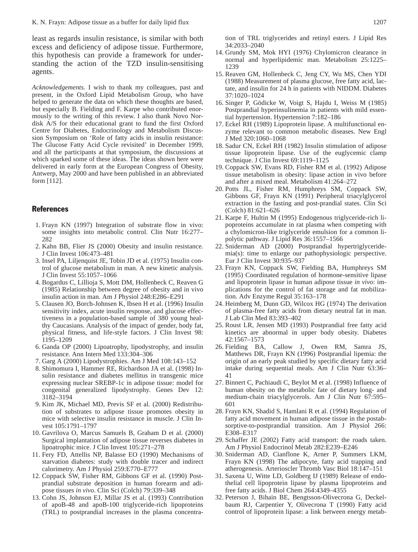least as regards insulin resistance, is similar with both excess and deficiency of adipose tissue. Furthermore, this hypothesis can provide a framework for understanding the action of the TZD insulin-sensitising agents.

*Acknowledgements.* I wish to thank my colleagues, past and present, in the Oxford Lipid Metabolism Group, who have helped to generate the data on which these thoughts are based, but especially B. Fielding and F. Karpe who contributed enormously to the writing of this review. I also thank Novo Nordisk A/S for their educational grant to fund the first Oxford Centre for Diabetes, Endocrinology and Metabolism Discussion Symposium on 'Role of fatty acids in insulin resistance: The Glucose Fatty Acid Cycle revisited' in December 1999, and all the participants at that symposium, the discussions at which sparked some of these ideas. The ideas shown here were delivered in early form at the European Congress of Obesity, Antwerp, May 2000 and have been published in an abbreviated form [112].

#### **References**

- 1. Frayn KN (1997) Integration of substrate flow in vivo: some insights into metabolic control. Clin Nutr 16:277– 282
- 2. Kahn BB, Flier JS (2000) Obesity and insulin resistance. J Clin Invest 106:473–481
- 3. Insel PA, Liljenquist JE, Tobin JD et al. (1975) Insulin control of glucose metabolism in man. A new kinetic analysis. J Clin Invest 55:1057–1066
- 4. Bogardus C, Lillioja S, Mott DM, Hollenbeck C, Reaven G (1985) Relationship between degree of obesity and in vivo insulin action in man. Am J Physiol 248:E286–E291
- 5. Clausen JO, Borch-Johnsen K, Ibsen H et al. (1996) Insulin sensitivity index, acute insulin response, and glucose effectiveness in a population-based sample of 380 young healthy Caucasians. Analysis of the impact of gender, body fat, physical fitness, and life-style factors. J Clin Invest 98: 1195–1209
- 6. Ganda OP (2000) Lipoatrophy, lipodystrophy, and insulin resistance. Ann Intern Med 133:304–306
- 7. Garg A (2000) Lipodystrophies. Am J Med 108:143–152
- 8. Shimomura I, Hammer RE, Richardson JA et al. (1998) Insulin resistance and diabetes mellitus in transgenic mice expressing nuclear SREBP-1c in adipose tissue: model for congenital generalized lipodystrophy. Genes Dev 12: 3182–3194
- 9. Kim JK, Michael MD, Previs SF et al. (2000) Redistribution of substrates to adipose tissue promotes obesity in mice with selective insulin resistance in muscle. J Clin Invest 105:1791–1797
- 10. Gavrilova O, Marcus Samuels B, Graham D et al. (2000) Surgical implantation of adipose tissue reverses diabetes in lipoatrophic mice. J Clin Invest 105:271–278
- 11. Fery FD, Attellis NP, Balasse EO (1990) Mechanisms of starvation diabetes: study with double tracer and indirect calorimetry. Am J Physiol 259:E770–E777
- 12. Coppack SW, Fisher RM, Gibbons GF et al. (1990) Postprandial substrate deposition in human forearm and adipose tissues *in vivo*. Clin Sci (Colch) 79:339–348
- 13. Cohn JS, Johnson EJ, Millar JS et al. (1993) Contribution of apoB-48 and apoB-100 triglyceride-rich lipoproteins (TRL) to postprandial increases in the plasma concentra-

tion of TRL triglycerides and retinyl esters. J Lipid Res 34:2033–2040

- 14. Grundy SM, Mok HYI (1976) Chylomicron clearance in normal and hyperlipidemic man. Metabolism 25:1225– 1239
- 15. Reaven GM, Hollenbeck C, Jeng CY, Wu MS, Chen YDI (1988) Measurement of plasma glucose, free fatty acid, lactate, and insulin for 24 h in patients with NIDDM. Diabetes 37:1020–1024
- 16. Singer P, Gödicke W, Voigt S, Hajdu I, Weiss M (1985) Postprandial hyperinsulinemia in patients with mild essential hypertension. Hypertension 7:182–186
- 17. Eckel RH (1989) Lipoprotein lipase. A multifunctional enzyme relevant to common metabolic diseases. New Engl J Med 320:1060–1068
- 18. Sadur CN, Eckel RH (1982) Insulin stimulation of adipose tissue lipoprotein lipase. Use of the euglycemic clamp technique. J Clin Invest 69:1119–1125
- 19. Coppack SW, Evans RD, Fisher RM et al. (1992) Adipose tissue metabolism in obesity: lipase action in vivo before and after a mixed meal. Metabolism 41:264–272
- 20. Potts JL, Fisher RM, Humphreys SM, Coppack SW, Gibbons GF, Frayn KN (1991) Peripheral triacylglycerol extraction in the fasting and post-prandial states. Clin Sci (Colch) 81:621–626
- 21. Karpe F, Hultin M (1995) Endogenous triglyceride-rich lipoproteins accumulate in rat plasma when competing with a chylomicron-like triglyceride emulsion for a common lipolytic pathway. J Lipid Res 36:1557–1566
- 22. Sniderman AD (2000) Postprandial hypertriglyceridemia(s): time to enlarge our pathophysiologic perspective. Eur J Clin Invest 30:935–937
- 23. Frayn KN, Coppack SW, Fielding BA, Humphreys SM (1995) Coordinated regulation of hormone-sensitive lipase and lipoprotein lipase in human adipose tissue *in vivo*: implications for the control of fat storage and fat mobilization. Adv Enzyme Regul 35:163–178
- 24. Heimberg M, Dunn GD, Wilcox HG (1974) The derivation of plasma-free fatty acids from dietary neutral fat in man. J Lab Clin Med 83:393–402
- 25. Roust LR, Jensen MD (1993) Postprandial free fatty acid kinetics are abnormal in upper body obesity. Diabetes 42:1567–1573
- 26. Fielding BA, Callow J, Owen RM, Samra JS, Matthews DR, Frayn KN (1996) Postprandial lipemia: the origin of an early peak studied by specific dietary fatty acid intake during sequential meals. Am J Clin Nutr 63:36– 41
- 27. Binnert C, Pachiaudi C, Beylot M et al. (1998) Influence of human obesity on the metabolic fate of dietary long- and medium-chain triacylglycerols. Am J Clin Nutr 67:595– 601
- 28. Frayn KN, Shadid S, Hamlani R et al. (1994) Regulation of fatty acid movement in human adipose tissue in the postabsorptive-to-postprandial transition. Am J Physiol 266: E308–E317
- 29. Schaffer JE (2002) Fatty acid transport: the roads taken. Am J Physiol Endocrinol Metab 282:E239–E246
- 30. Sniderman AD, Cianflone K, Arner P, Summers LKM, Frayn KN (1998) The adipocyte, fatty acid trapping and atherogenesis. Arterioscler Thromb Vasc Biol 18:147–151
- 31. Saxena U, Witte LD, Goldberg IJ (1989) Release of endothelial cell lipoprotein lipase by plasma lipoproteins and free fatty acids. J Biol Chem 264:4349–4355
- 32. Peterson J, Bihain BE, Bengtsson-Olivecrona G, Deckelbaum RJ, Carpentier Y, Olivecrona T (1990) Fatty acid control of lipoprotein lipase: a link between energy metab-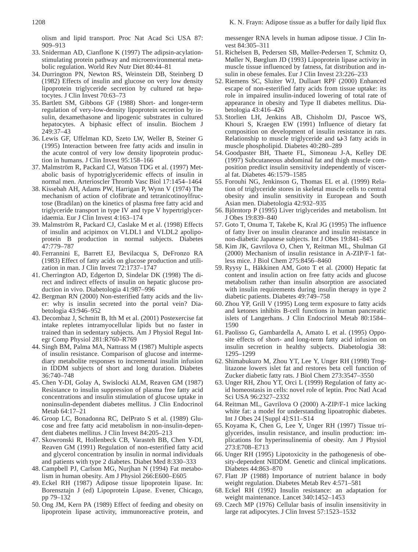olism and lipid transport. Proc Nat Acad Sci USA 87: 909–913

- 33. Sniderman AD, Cianflone K (1997) The adipsin-acylationstimulating protein pathway and microenvironmental metabolic regulation. World Rev Nutr Diet 80:44–81
- 34. Durrington PN, Newton RS, Weinstein DB, Steinberg D (1982) Effects of insulin and glucose on very low density lipoprotein triglyceride secretion by cultured rat hepatocytes. J Clin Invest 70:63–73
- 35. Bartlett SM, Gibbons GF (1988) Short- and longer-term regulation of very-low-density lipoprotein secretion by insulin, dexamethasone and lipogenic substrates in cultured hepatocytes. A biphasic effect of insulin. Biochem J 249:37–43
- 36. Lewis GF, Uffelman KD, Szeto LW, Weller B, Steiner G (1995) Interaction between free fatty acids and insulin in the acute control of very low density lipoprotein production in humans. J Clin Invest 95:158–166
- 37. Malmström R, Packard CJ, Watson TDG et al. (1997) Metabolic basis of hypotriglyceridemic effects of insulin in normal men. Arterioscler Thromb Vasc Biol 17:1454–1464
- 38. Kissebah AH, Adams PW, Harrigan P, Wynn V (1974) The mechanism of action of clofibrate and tetranicotinoylfructose (Bradilan) on the kinetics of plasma free fatty acid and triglyceride transport in type IV and type V hypertriglyceridaemia. Eur J Clin Invest 4:163–174
- 39. Malmström R, Packard CJ, Caslake M et al. (1998) Effects of insulin and acipimox on VLDL1 and VLDL2 apolipoprotein B production in normal subjects. Diabetes 47:779–787
- 40. Ferrannini E, Barrett EJ, Bevilacqua S, DeFronzo RA (1983) Effect of fatty acids on glucose production and utilization in man. J Clin Invest 72:1737–1747
- 41. Cherrington AD, Edgerton D, Sindelar DK (1998) The direct and indirect effects of insulin on hepatic glucose production in vivo. Diabetologia 41:987–996
- 42. Bergman RN (2000) Non-esterified fatty acids and the liver: why is insulin secreted into the portal vein? Diabetologia 43:946–952
- 43. Decombaz J, Schmitt B, Ith M et al. (2001) Postexercise fat intake repletes intramyocellular lipids but no faster in trained than in sedentary subjects. Am J Physiol Regul Integr Comp Physiol 281:R760–R769
- 44. Singh BM, Palma MA, Nattrass M (1987) Multiple aspects of insulin resistance. Comparison of glucose and intermediary metabolite responses to incremental insulin infusion in IDDM subjects of short and long duration. Diabetes 36:740–748
- 45. Chen Y-DI, Golay A, Swislocki ALM, Reaven GM (1987) Resistance to insulin suppression of plasma free fatty acid concentrations and insulin stimulation of glucose uptake in noninsulin-dependent diabetes mellitus. J Clin Endocrinol Metab 64:17–21
- 46. Groop LC, Bonadonna RC, DelPrato S et al. (1989) Glucose and free fatty acid metabolism in non-insulin-dependent diabetes mellitus. J Clin Invest 84:205–213
- 47. Skowronski R, Hollenbeck CB, Varasteh BB, Chen Y-DI, Reaven GM (1991) Regulation of non-esterified fatty acid and glycerol concentration by insulin in normal individuals and patients with type 2 diabetes. Diabet Med 8:330–333
- 48. Campbell PJ, Carlson MG, Nurjhan N (1994) Fat metabolism in human obesity. Am J Physiol 266:E600–E605
- 49. Eckel RH (1987) Adipose tissue lipoprotein lipase. In: Borensztajn J (ed) Lipoprotein Lipase. Evener, Chicago, pp 79–132
- 50. Ong JM, Kern PA (1989) Effect of feeding and obesity on lipoprotein lipase activity, immunoreactive protein, and

messenger RNA levels in human adipose tissue. J Clin Invest 84:305–311

- 51. Richelsen B, Pedersen SB, Møller-Pedersen T, Schmitz O, Møller N, Børglum JD (1993) Lipoprotein lipase activity in muscle tissue influenced by fatness, fat distribution and insulin in obese females. Eur J Clin Invest 23:226–233
- 52. Riemens SC, Sluiter WJ, Dullaart RPF (2000) Enhanced escape of non-esterified fatty acids from tissue uptake: its role in impaired insulin-induced lowering of total rate of appearance in obesity and Type II diabetes mellitus. Diabetologia 43:416–426
- 53. Storlien LH, Jenkins AB, Chisholm DJ, Pascoe WS, Khouri S, Kraegen EW (1991) Influence of dietary fat composition on development of insulin resistance in rats. Relationship to muscle triglyceride and ω-3 fatty acids in muscle phospholipid. Diabetes 40:280–289
- 54. Goodpaster BH, Thaete FL, Simoneau J-A, Kelley DE (1997) Subcutaneous abdominal fat and thigh muscle composition predict insulin sensitivity independently of visceral fat. Diabetes 46:1579–1585
- 55. Forouhi NG, Jenkinson G, Thomas EL et al. (1999) Relation of triglyceride stores in skeletal muscle cells to central obesity and insulin sensitivity in European and South Asian men. Diabetologia 42:932–935
- 56. Björntorp P (1995) Liver triglycerides and metabolism. Int J Obes 19:839–840
- 57. Goto T, Onuma T, Takebe K, Kral JG (1995) The influence of fatty liver on insulin clearance and insulin resistance in non-diabetic Japanese subjects. Int J Obes 19:841–845
- 58. Kim JK, Gavrilova O, Chen Y, Reitman ML, Shulman GI (2000) Mechanism of insulin resistance in A-ZIP/F-1 fatless mice. J Biol Chem 275:8456–8460
- 59. Ryysy L, Häkkinen AM, Goto T et al. (2000) Hepatic fat content and insulin action on free fatty acids and glucose metabolism rather than insulin absorption are associated with insulin requirements during insulin therapy in type 2 diabetic patients. Diabetes 49:749–758
- 60. Zhou YP, Grill V (1995) Long term exposure to fatty acids and ketones inhibits B-cell functions in human pancreatic islets of Langerhans. J Clin Endocrinol Metab 80:1584– 1590
- 61. Paolisso G, Gambardella A, Amato L et al. (1995) Opposite effects of short- and long-term fatty acid infusion on insulin secretion in healthy subjects. Diabetologia 38: 1295–1299
- 62. Shimabukuro M, Zhou YT, Lee Y, Unger RH (1998) Troglitazone lowers islet fat and restores beta cell function of Zucker diabetic fatty rats. J Biol Chem 273:3547–3550
- 63. Unger RH, Zhou YT, Orci L (1999) Regulation of fatty acid homeostasis in cells: novel role of leptin. Proc Natl Acad Sci USA 96:2327–2332
- 64. Reitman ML, Gavrilova O (2000) A-ZIP/F-1 mice lacking white fat: a model for understanding lipoatrophic diabetes. Int J Obes 24 [Suppl 4]:S11–S14
- 65. Koyama K, Chen G, Lee Y, Unger RH (1997) Tissue triglycerides, insulin resistance, and insulin production: implications for hyperinsulinemia of obesity. Am J Physiol 273:E708–E713
- 66. Unger RH (1995) Lipotoxicity in the pathogenesis of obesity-dependent NIDDM. Genetic and clinical implications. Diabetes 44:863–870
- 67. Flatt JP (1988) Importance of nutrient balance in body weight regulation. Diabetes Metab Rev 4:571–581
- 68. Eckel RH (1992) Insulin resistance: an adaptation for weight maintenance. Lancet 340:1452–1453
- 69. Czech MP (1976) Cellular basis of insulin insensitivity in large rat adipocytes. J Clin Invest 57:1523–1532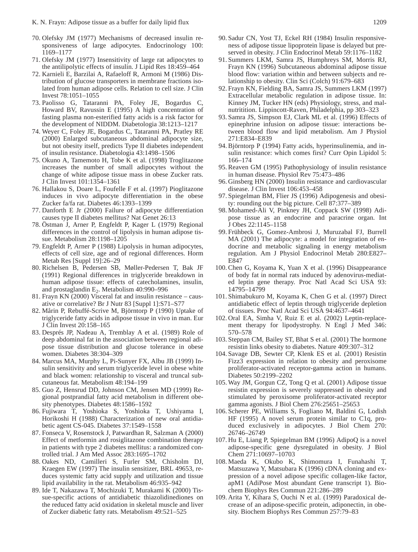- 70. Olefsky JM (1977) Mechanisms of decreased insulin responsiveness of large adipocytes. Endocrinology 100: 1169–1177
- 71. Olefsky JM (1977) Insensitivity of large rat adipocytes to the antilipolytic effects of insulin. J Lipid Res 18:459–464
- 72. Karnieli E, Barzilai A, Rafaeloff R, Armoni M (1986) Distribution of glucose transporters in membrane fractions isolated from human adipose cells. Relation to cell size. J Clin Invest 78:1051–1055
- 73. Paolisso G, Tataranni PA, Foley JE, Bogardus C, Howard BV, Ravussin E (1995) A high concentration of fasting plasma non-esterified fatty acids is a risk factor for the development of NIDDM. Diabetologia 38:1213–1217
- 74. Weyer C, Foley JE, Bogardus C, Tataranni PA, Pratley RE (2000) Enlarged subcutaneous abdominal adipocyte size, but not obesity itself, predicts Type II diabetes independent of insulin resistance. Diabetologia 43:1498–1506
- 75. Okuno A, Tamemoto H, Tobe K et al. (1998) Troglitazone increases the number of small adipocytes without the change of white adipose tissue mass in obese Zucker rats. J Clin Invest 101:1354–1361
- 76. Hallakou S, Doare L, Foufelle F et al. (1997) Pioglitazone induces in vivo adipocyte differentiation in the obese Zucker fa/fa rat. Diabetes 46:1393–1399
- 77. Danforth E Jr (2000) Failure of adipocyte differentiation causes type II diabetes mellitus? Nat Genet 26:13
- 78. Östman J, Arner P, Engfeldt P, Kager L (1979) Regional differences in the control of lipolysis in human adipose tissue. Metabolism 28:1198–1205
- 79. Engfeldt P, Arner P (1988) Lipolysis in human adipocytes, effects of cell size, age and of regional differences. Horm Metab Res [Suppl 19]:26–29
- 80. Richelsen B, Pedersen SB, Møller-Pedersen T, Bak JF (1991) Regional differences in triglyceride breakdown in human adipose tissue: effects of catecholamines, insulin, and prostaglandin  $E_2$ . Metabolism 40:990–996
- 81. Frayn KN (2000) Visceral fat and insulin resistance causative or correlative? Br J Nutr 83 [Suppl 1]:S71–S77
- 82. Mårin P, Rebuffé-Scrive M, Björntorp P (1990) Uptake of triglyceride fatty acids in adipose tissue in vivo in man. Eur J Clin Invest 20:158–165
- 83. Després JP, Nadeau A, Tremblay A et al. (1989) Role of deep abdominal fat in the association between regional adipose tissue distribution and glucose tolerance in obese women. Diabetes 38:304–309
- 84. Marcus MA, Murphy L, Pi-Sunyer FX, Albu JB (1999) Insulin sensitivity and serum triglyceride level in obese white and black women: relationship to visceral and truncal subcutaneous fat. Metabolism 48:194–199
- 85. Guo Z, Hensrud DD, Johnson CM, Jensen MD (1999) Regional postprandial fatty acid metabolism in different obesity phenotypes. Diabetes 48:1586–1592
- 86. Fujiwara T, Yoshioka S, Yoshioka T, Ushiyama I, Horikoshi H (1988) Characterization of new oral antidiabetic agent CS-045. Diabetes 37:1549–1558
- 87. Fonseca V, Rosenstock J, Patwardhan R, Salzman A (2000) Effect of metformin and rosiglitazone combination therapy in patients with type 2 diabetes mellitus: a randomized controlled trial. J Am Med Assoc 283:1695–1702
- 88. Oakes ND, Camilleri S, Furler SM, Chisholm DJ, Kraegen EW (1997) The insulin sensitizer, BRL 49653, reduces systemic fatty acid supply and utilization and tissue lipid availability in the rat. Metabolism 46:935–942
- 89. Ide T, Nakazawa T, Mochizuki T, Murakami K (2000) Tissue-specific actions of antidiabetic thiazolidinediones on the reduced fatty acid oxidation in skeletal muscle and liver of Zucker diabetic fatty rats. Metabolism 49:521–525
- 90. Sadur CN, Yost TJ, Eckel RH (1984) Insulin responsiveness of adipose tissue lipoprotein lipase is delayed but preserved in obesity. J Clin Endocrinol Metab 59:1176–1182
- 91. Summers LKM, Samra JS, Humphreys SM, Morris RJ, Frayn KN (1996) Subcutaneous abdominal adipose tissue blood flow: variation within and between subjects and relationship to obesity. Clin Sci (Colch) 91:679–683
- 92. Frayn KN, Fielding BA, Samra JS, Summers LKM (1997) Extracellular metabolic regulation in adipose tissue. In: Kinney JM, Tucker HN (eds) Physiology, stress, and malnutritition. Lippincott-Raven, Philadelphia, pp 303–323
- 93. Samra JS, Simpson EJ, Clark ML et al. (1996) Effects of epinephrine infusion on adipose tissue: interactions between blood flow and lipid metabolism. Am J Physiol 271:E834–E839
- 94. Björntorp P (1994) Fatty acids, hyperinsulinemia, and insulin resistance: which comes first? Curr Opin Lipidol 5: 166–174
- 95. Reaven GM (1995) Pathophysiology of insulin resistance in human disease. Physiol Rev 75:473–486
- 96. Ginsberg HN (2000) Insulin resistance and cardiovascular disease. J Clin Invest 106:453–458
- 97. Spiegelman BM, Flier JS (1996) Adipogenesis and obesity: rounding out the big picture. Cell 87:377–389
- 98. Mohamed-Ali V, Pinkney JH, Coppack SW (1998) Adipose tissue as an endocrine and paracrine organ. Int J Obes 22:1145–1158
- 99. Frühbeck G, Gomez-Ambrosi J, Muruzabal FJ, Burrell MA (2001) The adipocyte: a model for integration of endocrine and metabolic signaling in energy metabolism regulation. Am J Physiol Endocrinol Metab 280:E827– E847
- 100. Chen G, Koyama K, Yuan X et al. (1996) Disappearance of body fat in normal rats induced by adenovirus-mediated leptin gene therapy. Proc Natl Acad Sci USA 93: 14795–14799
- 101. Shimabukuro M, Koyama K, Chen G et al. (1997) Direct antidiabetic effect of leptin through triglyceride depletion of tissues. Proc Natl Acad Sci USA 94:4637–4641
- 102. Oral EA, Simha V, Ruiz E et al. (2002) Leptin-replacement therapy for lipodystrophy. N Engl J Med 346: 570–578
- 103. Steppan CM, Bailey ST, Bhat S et al. (2001) The hormone resistin links obesity to diabetes. Nature 409:307–312
- 104. Savage DB, Sewter CP, Klenk ES et al. (2001) Resistin Fizz3 expression in relation to obesity and peroxisome proliferator-activated receptor-gamma action in humans. Diabetes 50:2199–2202
- 105. Way JM, Gorgun CZ, Tong Q et al. (2001) Adipose tissue resistin expression is severely suppressed in obesity and stimulated by peroxisome proliferator-activated receptor gamma agonists. J Biol Chem 276:25651–25653
- 106. Scherer PE, Williams S, Fogliano M, Baldini G, Lodish HF (1995) A novel serum protein similar to C1q, produced exclusively in adipocytes. J Biol Chem 270: 26746–26749
- 107. Hu E, Liang P, Spiegelman BM (1996) AdipoQ is a novel adipose-specific gene dysregulated in obesity. J Biol Chem 271:10697–10703
- 108. Maeda K, Okubo K, Shimomura I, Funahashi T, Matsuzawa Y, Matsubara K (1996) cDNA cloning and expression of a novel adipose specific collagen-like factor, apM1 (AdiPose Most abundant Gene transcript 1). Biochem Biophys Res Commun 221:286–289
- 109. Arita Y, Kihara S, Ouchi N et al. (1999) Paradoxical decrease of an adipose-specific protein, adiponectin, in obesity. Biochem Biophys Res Commun 257:79–83